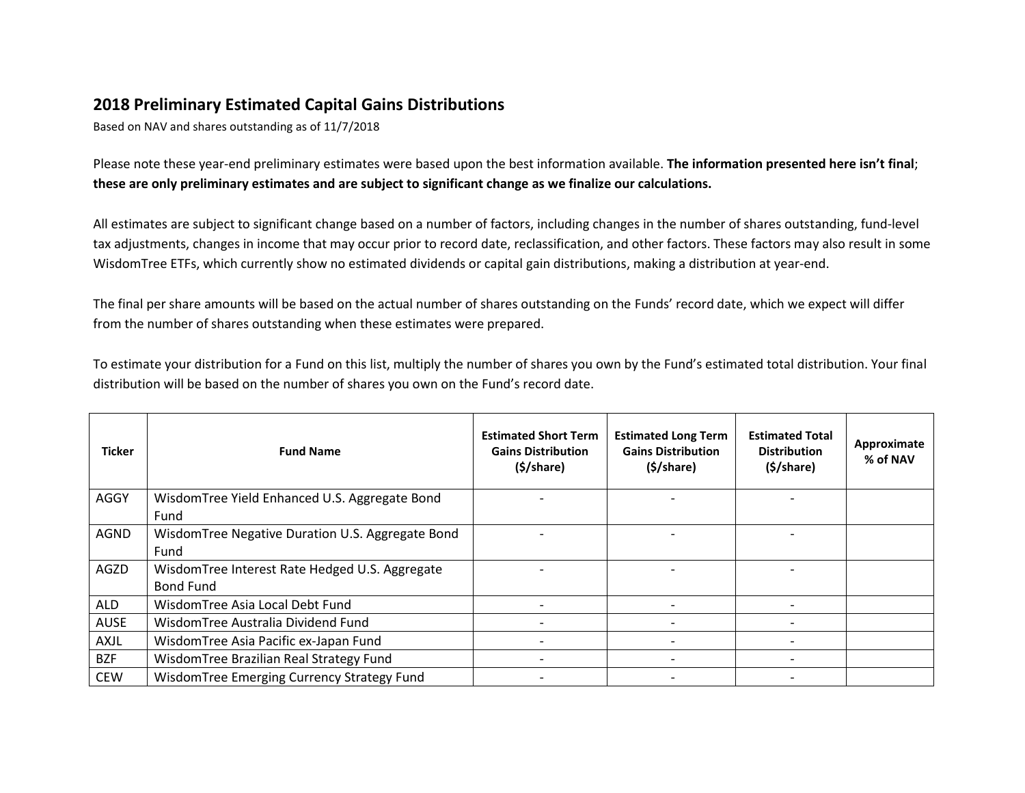## **2018 Preliminary Estimated Capital Gains Distributions**

Based on NAV and shares outstanding as of 11/7/2018

Please note these year-end preliminary estimates were based upon the best information available. **The information presented here isn't final**; **these are only preliminary estimates and are subject to significant change as we finalize our calculations.**

All estimates are subject to significant change based on a number of factors, including changes in the number of shares outstanding, fund-level tax adjustments, changes in income that may occur prior to record date, reclassification, and other factors. These factors may also result in some WisdomTree ETFs, which currently show no estimated dividends or capital gain distributions, making a distribution at year-end.

The final per share amounts will be based on the actual number of shares outstanding on the Funds' record date, which we expect will differ from the number of shares outstanding when these estimates were prepared.

To estimate your distribution for a Fund on this list, multiply the number of shares you own by the Fund's estimated total distribution. Your final distribution will be based on the number of shares you own on the Fund's record date.

| <b>Ticker</b> | <b>Fund Name</b>                                                   | <b>Estimated Short Term</b><br><b>Gains Distribution</b><br>$(\frac{1}{2}) share)$ | <b>Estimated Long Term</b><br><b>Gains Distribution</b><br>$(\frac{1}{2}) share)$ | <b>Estimated Total</b><br><b>Distribution</b><br>$(\frac{1}{2}) share)$ | Approximate<br>% of NAV |
|---------------|--------------------------------------------------------------------|------------------------------------------------------------------------------------|-----------------------------------------------------------------------------------|-------------------------------------------------------------------------|-------------------------|
| AGGY          | WisdomTree Yield Enhanced U.S. Aggregate Bond<br>Fund              |                                                                                    |                                                                                   |                                                                         |                         |
| AGND          | WisdomTree Negative Duration U.S. Aggregate Bond<br>Fund           |                                                                                    |                                                                                   |                                                                         |                         |
| AGZD          | WisdomTree Interest Rate Hedged U.S. Aggregate<br><b>Bond Fund</b> |                                                                                    |                                                                                   |                                                                         |                         |
| ALD           | WisdomTree Asia Local Debt Fund                                    |                                                                                    |                                                                                   |                                                                         |                         |
| <b>AUSE</b>   | WisdomTree Australia Dividend Fund                                 |                                                                                    |                                                                                   |                                                                         |                         |
| AXJL          | WisdomTree Asia Pacific ex-Japan Fund                              |                                                                                    |                                                                                   |                                                                         |                         |
| <b>BZF</b>    | WisdomTree Brazilian Real Strategy Fund                            |                                                                                    |                                                                                   |                                                                         |                         |
| <b>CEW</b>    | WisdomTree Emerging Currency Strategy Fund                         |                                                                                    |                                                                                   |                                                                         |                         |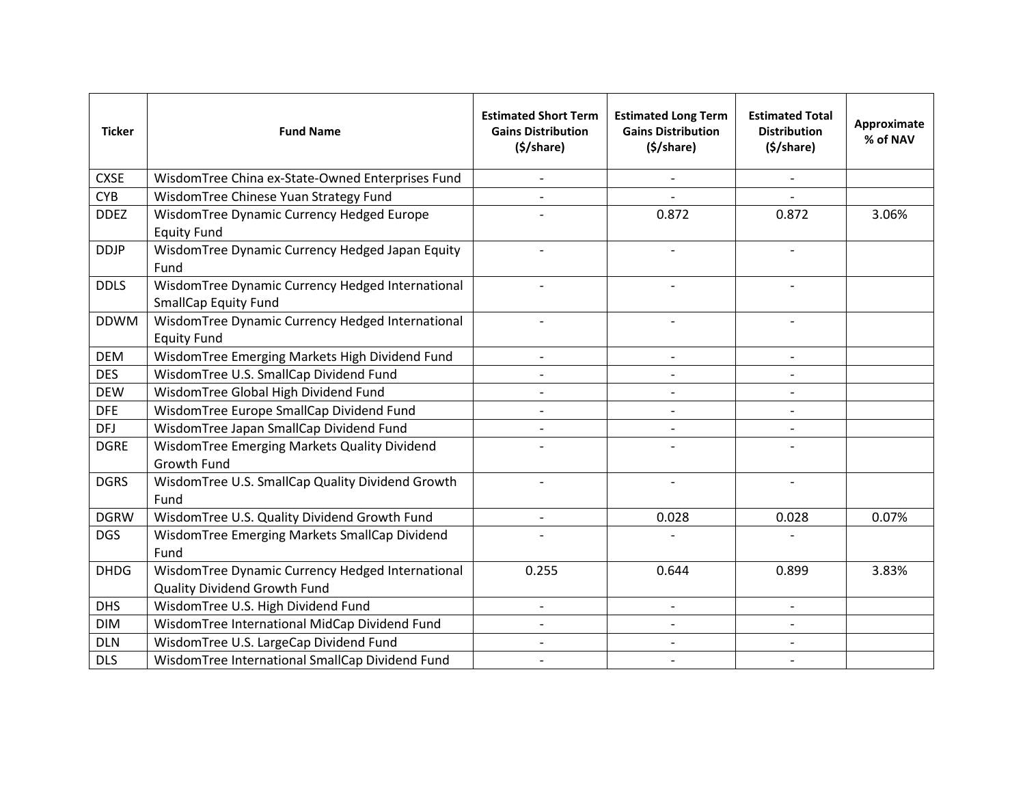| <b>Ticker</b> | <b>Fund Name</b>                                                                 | <b>Estimated Short Term</b><br><b>Gains Distribution</b><br>$(\frac{1}{2}) share)$ | <b>Estimated Long Term</b><br><b>Gains Distribution</b><br>$(\frac{1}{2}) share)$ | <b>Estimated Total</b><br><b>Distribution</b><br>$(\frac{1}{2}) share)$ | Approximate<br>% of NAV |
|---------------|----------------------------------------------------------------------------------|------------------------------------------------------------------------------------|-----------------------------------------------------------------------------------|-------------------------------------------------------------------------|-------------------------|
| <b>CXSE</b>   | WisdomTree China ex-State-Owned Enterprises Fund                                 | $\overline{\phantom{a}}$                                                           |                                                                                   | $\overline{\phantom{a}}$                                                |                         |
| <b>CYB</b>    | WisdomTree Chinese Yuan Strategy Fund                                            |                                                                                    |                                                                                   |                                                                         |                         |
| <b>DDEZ</b>   | WisdomTree Dynamic Currency Hedged Europe<br><b>Equity Fund</b>                  |                                                                                    | 0.872                                                                             | 0.872                                                                   | 3.06%                   |
| <b>DDJP</b>   | WisdomTree Dynamic Currency Hedged Japan Equity<br>Fund                          |                                                                                    |                                                                                   | $\overline{\phantom{a}}$                                                |                         |
| <b>DDLS</b>   | WisdomTree Dynamic Currency Hedged International<br><b>SmallCap Equity Fund</b>  |                                                                                    |                                                                                   |                                                                         |                         |
| <b>DDWM</b>   | WisdomTree Dynamic Currency Hedged International<br><b>Equity Fund</b>           |                                                                                    |                                                                                   |                                                                         |                         |
| <b>DEM</b>    | WisdomTree Emerging Markets High Dividend Fund                                   | $\overline{\phantom{a}}$                                                           | $\overline{\phantom{a}}$                                                          | $\overline{\phantom{a}}$                                                |                         |
| <b>DES</b>    | WisdomTree U.S. SmallCap Dividend Fund                                           |                                                                                    |                                                                                   |                                                                         |                         |
| <b>DEW</b>    | WisdomTree Global High Dividend Fund                                             | $\overline{a}$                                                                     |                                                                                   | $\overline{\phantom{0}}$                                                |                         |
| <b>DFE</b>    | WisdomTree Europe SmallCap Dividend Fund                                         | $\overline{\phantom{a}}$                                                           | $\overline{\phantom{a}}$                                                          | $\overline{\phantom{a}}$                                                |                         |
| <b>DFJ</b>    | WisdomTree Japan SmallCap Dividend Fund                                          |                                                                                    |                                                                                   |                                                                         |                         |
| <b>DGRE</b>   | WisdomTree Emerging Markets Quality Dividend<br>Growth Fund                      |                                                                                    |                                                                                   |                                                                         |                         |
| <b>DGRS</b>   | WisdomTree U.S. SmallCap Quality Dividend Growth<br>Fund                         |                                                                                    |                                                                                   |                                                                         |                         |
| <b>DGRW</b>   | WisdomTree U.S. Quality Dividend Growth Fund                                     | $\overline{\phantom{a}}$                                                           | 0.028                                                                             | 0.028                                                                   | 0.07%                   |
| <b>DGS</b>    | WisdomTree Emerging Markets SmallCap Dividend<br>Fund                            |                                                                                    |                                                                                   |                                                                         |                         |
| <b>DHDG</b>   | WisdomTree Dynamic Currency Hedged International<br>Quality Dividend Growth Fund | 0.255                                                                              | 0.644                                                                             | 0.899                                                                   | 3.83%                   |
| <b>DHS</b>    | WisdomTree U.S. High Dividend Fund                                               | $\blacksquare$                                                                     | $\blacksquare$                                                                    | $\overline{\phantom{0}}$                                                |                         |
| <b>DIM</b>    | WisdomTree International MidCap Dividend Fund                                    |                                                                                    |                                                                                   |                                                                         |                         |
| <b>DLN</b>    | WisdomTree U.S. LargeCap Dividend Fund                                           | $\blacksquare$                                                                     |                                                                                   | $\overline{\phantom{a}}$                                                |                         |
| <b>DLS</b>    | WisdomTree International SmallCap Dividend Fund                                  |                                                                                    |                                                                                   |                                                                         |                         |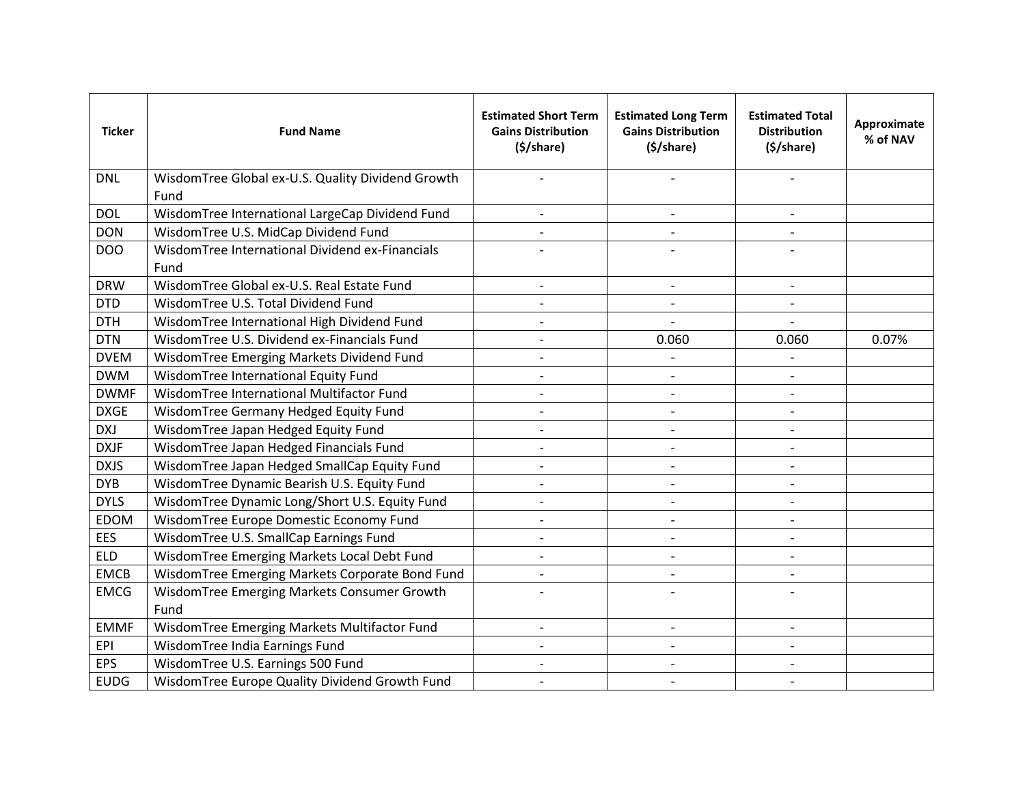| <b>Ticker</b> | <b>Fund Name</b>                                          | <b>Estimated Short Term</b><br><b>Gains Distribution</b><br>$(\frac{1}{2}) share)$ | <b>Estimated Long Term</b><br><b>Gains Distribution</b><br>(§/share) | <b>Estimated Total</b><br><b>Distribution</b><br>$(\frac{1}{2}) share)$ | Approximate<br>% of NAV |
|---------------|-----------------------------------------------------------|------------------------------------------------------------------------------------|----------------------------------------------------------------------|-------------------------------------------------------------------------|-------------------------|
| <b>DNL</b>    | WisdomTree Global ex-U.S. Quality Dividend Growth<br>Fund |                                                                                    |                                                                      |                                                                         |                         |
| <b>DOL</b>    | WisdomTree International LargeCap Dividend Fund           | $\overline{a}$                                                                     |                                                                      | $\overline{\phantom{a}}$                                                |                         |
| <b>DON</b>    | WisdomTree U.S. MidCap Dividend Fund                      |                                                                                    |                                                                      |                                                                         |                         |
| DOO           | WisdomTree International Dividend ex-Financials<br>Fund   |                                                                                    |                                                                      |                                                                         |                         |
| <b>DRW</b>    | WisdomTree Global ex-U.S. Real Estate Fund                | $\overline{\phantom{a}}$                                                           | $\overline{\phantom{a}}$                                             | $\overline{\phantom{a}}$                                                |                         |
| <b>DTD</b>    | WisdomTree U.S. Total Dividend Fund                       | $\overline{a}$                                                                     |                                                                      | $\overline{a}$                                                          |                         |
| <b>DTH</b>    | WisdomTree International High Dividend Fund               |                                                                                    |                                                                      |                                                                         |                         |
| <b>DTN</b>    | WisdomTree U.S. Dividend ex-Financials Fund               |                                                                                    | 0.060                                                                | 0.060                                                                   | 0.07%                   |
| <b>DVEM</b>   | WisdomTree Emerging Markets Dividend Fund                 | $\overline{\phantom{a}}$                                                           |                                                                      | $\overline{\phantom{a}}$                                                |                         |
| <b>DWM</b>    | WisdomTree International Equity Fund                      | $\qquad \qquad \blacksquare$                                                       |                                                                      |                                                                         |                         |
| <b>DWMF</b>   | WisdomTree International Multifactor Fund                 | $\overline{\phantom{a}}$                                                           |                                                                      | $\overline{\phantom{a}}$                                                |                         |
| <b>DXGE</b>   | WisdomTree Germany Hedged Equity Fund                     | $\overline{a}$                                                                     |                                                                      | $\blacksquare$                                                          |                         |
| <b>DXJ</b>    | WisdomTree Japan Hedged Equity Fund                       | $\overline{\phantom{a}}$                                                           |                                                                      | $\overline{\phantom{a}}$                                                |                         |
| <b>DXJF</b>   | WisdomTree Japan Hedged Financials Fund                   | $\overline{a}$                                                                     |                                                                      |                                                                         |                         |
| <b>DXJS</b>   | WisdomTree Japan Hedged SmallCap Equity Fund              |                                                                                    |                                                                      | $\overline{\phantom{a}}$                                                |                         |
| <b>DYB</b>    | WisdomTree Dynamic Bearish U.S. Equity Fund               |                                                                                    |                                                                      |                                                                         |                         |
| <b>DYLS</b>   | WisdomTree Dynamic Long/Short U.S. Equity Fund            | $\overline{\phantom{0}}$                                                           |                                                                      | $\overline{\phantom{a}}$                                                |                         |
| <b>EDOM</b>   | WisdomTree Europe Domestic Economy Fund                   |                                                                                    |                                                                      |                                                                         |                         |
| <b>EES</b>    | WisdomTree U.S. SmallCap Earnings Fund                    | $\overline{\phantom{a}}$                                                           |                                                                      |                                                                         |                         |
| <b>ELD</b>    | WisdomTree Emerging Markets Local Debt Fund               | $\overline{a}$                                                                     |                                                                      |                                                                         |                         |
| <b>EMCB</b>   | WisdomTree Emerging Markets Corporate Bond Fund           | $\overline{a}$                                                                     |                                                                      | $\overline{\phantom{a}}$                                                |                         |
| <b>EMCG</b>   | WisdomTree Emerging Markets Consumer Growth<br>Fund       |                                                                                    |                                                                      |                                                                         |                         |
| <b>EMMF</b>   | WisdomTree Emerging Markets Multifactor Fund              | $\overline{a}$                                                                     |                                                                      |                                                                         |                         |
| EPI           | WisdomTree India Earnings Fund                            |                                                                                    |                                                                      |                                                                         |                         |
| <b>EPS</b>    | WisdomTree U.S. Earnings 500 Fund                         | $\qquad \qquad \blacksquare$                                                       |                                                                      |                                                                         |                         |
| <b>EUDG</b>   | WisdomTree Europe Quality Dividend Growth Fund            |                                                                                    |                                                                      |                                                                         |                         |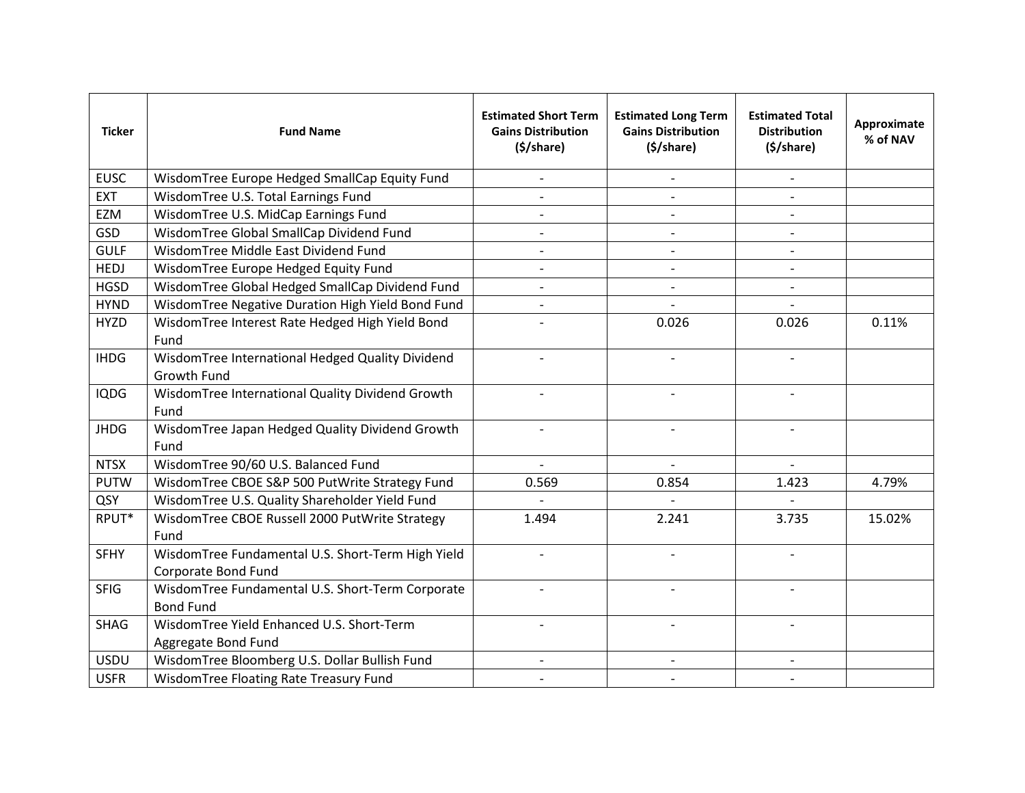| <b>Ticker</b> | <b>Fund Name</b>                                                         | <b>Estimated Short Term</b><br><b>Gains Distribution</b><br>$(\frac{1}{2}) share)$ | <b>Estimated Long Term</b><br><b>Gains Distribution</b><br>$(\frac{1}{2}) share)$ | <b>Estimated Total</b><br><b>Distribution</b><br>$(\frac{1}{2}) share)$ | Approximate<br>% of NAV |
|---------------|--------------------------------------------------------------------------|------------------------------------------------------------------------------------|-----------------------------------------------------------------------------------|-------------------------------------------------------------------------|-------------------------|
| <b>EUSC</b>   | WisdomTree Europe Hedged SmallCap Equity Fund                            |                                                                                    |                                                                                   |                                                                         |                         |
| <b>EXT</b>    | WisdomTree U.S. Total Earnings Fund                                      |                                                                                    |                                                                                   |                                                                         |                         |
| EZM           | WisdomTree U.S. MidCap Earnings Fund                                     |                                                                                    |                                                                                   |                                                                         |                         |
| GSD           | WisdomTree Global SmallCap Dividend Fund                                 |                                                                                    |                                                                                   |                                                                         |                         |
| <b>GULF</b>   | WisdomTree Middle East Dividend Fund                                     |                                                                                    |                                                                                   |                                                                         |                         |
| <b>HEDJ</b>   | WisdomTree Europe Hedged Equity Fund                                     | $\overline{\phantom{a}}$                                                           | $\overline{\phantom{a}}$                                                          | $\overline{\phantom{a}}$                                                |                         |
| <b>HGSD</b>   | WisdomTree Global Hedged SmallCap Dividend Fund                          |                                                                                    |                                                                                   |                                                                         |                         |
| <b>HYND</b>   | WisdomTree Negative Duration High Yield Bond Fund                        | $\overline{a}$                                                                     |                                                                                   |                                                                         |                         |
| <b>HYZD</b>   | WisdomTree Interest Rate Hedged High Yield Bond<br>Fund                  |                                                                                    | 0.026                                                                             | 0.026                                                                   | 0.11%                   |
| <b>IHDG</b>   | WisdomTree International Hedged Quality Dividend<br><b>Growth Fund</b>   | $\blacksquare$                                                                     | $\blacksquare$                                                                    | $\overline{\phantom{0}}$                                                |                         |
| <b>IQDG</b>   | WisdomTree International Quality Dividend Growth<br>Fund                 |                                                                                    |                                                                                   |                                                                         |                         |
| <b>JHDG</b>   | WisdomTree Japan Hedged Quality Dividend Growth<br>Fund                  | $\overline{\phantom{a}}$                                                           | $\blacksquare$                                                                    | $\overline{\phantom{a}}$                                                |                         |
| <b>NTSX</b>   | WisdomTree 90/60 U.S. Balanced Fund                                      | $\overline{a}$                                                                     |                                                                                   |                                                                         |                         |
| <b>PUTW</b>   | WisdomTree CBOE S&P 500 PutWrite Strategy Fund                           | 0.569                                                                              | 0.854                                                                             | 1.423                                                                   | 4.79%                   |
| QSY           | WisdomTree U.S. Quality Shareholder Yield Fund                           |                                                                                    |                                                                                   |                                                                         |                         |
| RPUT*         | WisdomTree CBOE Russell 2000 PutWrite Strategy<br>Fund                   | 1.494                                                                              | 2.241                                                                             | 3.735                                                                   | 15.02%                  |
| <b>SFHY</b>   | WisdomTree Fundamental U.S. Short-Term High Yield<br>Corporate Bond Fund |                                                                                    |                                                                                   | $\overline{\phantom{a}}$                                                |                         |
| <b>SFIG</b>   | WisdomTree Fundamental U.S. Short-Term Corporate<br><b>Bond Fund</b>     |                                                                                    |                                                                                   |                                                                         |                         |
| <b>SHAG</b>   | WisdomTree Yield Enhanced U.S. Short-Term<br>Aggregate Bond Fund         |                                                                                    |                                                                                   |                                                                         |                         |
| <b>USDU</b>   | WisdomTree Bloomberg U.S. Dollar Bullish Fund                            |                                                                                    |                                                                                   |                                                                         |                         |
| <b>USFR</b>   | WisdomTree Floating Rate Treasury Fund                                   |                                                                                    |                                                                                   |                                                                         |                         |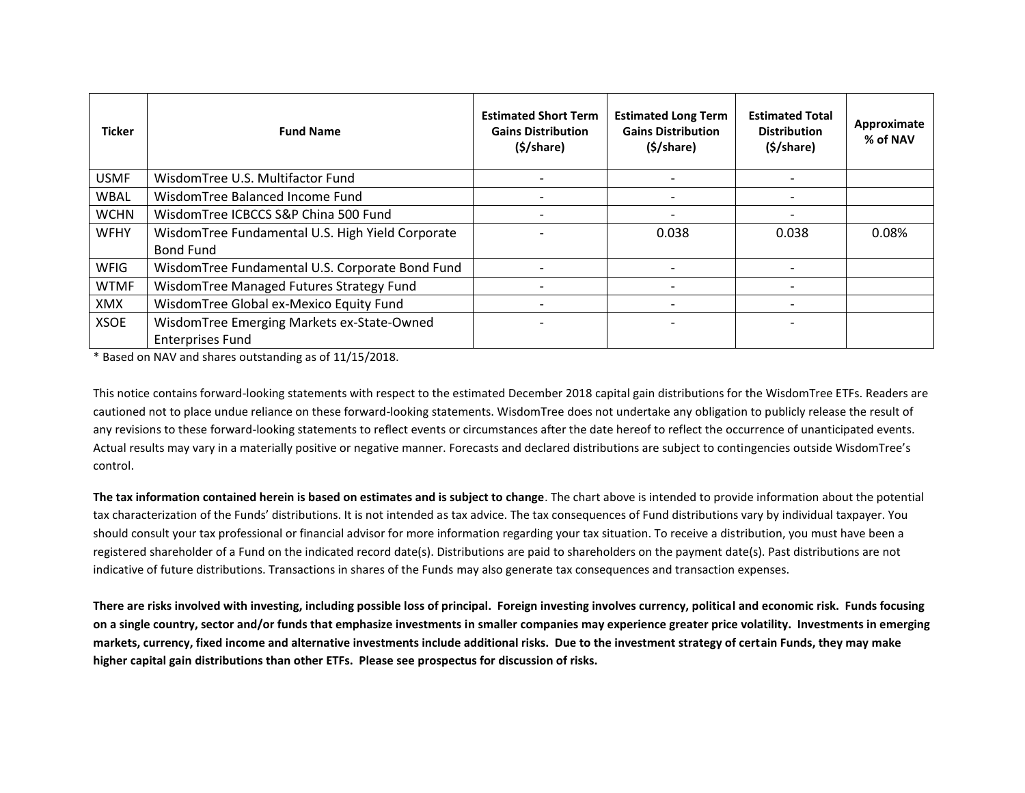| <b>Ticker</b> | <b>Fund Name</b>                                 | <b>Estimated Short Term</b><br><b>Gains Distribution</b><br>$(\frac{1}{2}) share)$ | <b>Estimated Long Term</b><br><b>Gains Distribution</b><br>$(\frac{1}{2}) share)$ | <b>Estimated Total</b><br><b>Distribution</b><br>$(\frac{1}{2}) share)$ | Approximate<br>% of NAV |
|---------------|--------------------------------------------------|------------------------------------------------------------------------------------|-----------------------------------------------------------------------------------|-------------------------------------------------------------------------|-------------------------|
| <b>USMF</b>   | WisdomTree U.S. Multifactor Fund                 |                                                                                    |                                                                                   |                                                                         |                         |
| <b>WBAL</b>   | WisdomTree Balanced Income Fund                  |                                                                                    |                                                                                   |                                                                         |                         |
| <b>WCHN</b>   | WisdomTree ICBCCS S&P China 500 Fund             |                                                                                    |                                                                                   |                                                                         |                         |
| <b>WFHY</b>   | WisdomTree Fundamental U.S. High Yield Corporate |                                                                                    | 0.038                                                                             | 0.038                                                                   | 0.08%                   |
|               | <b>Bond Fund</b>                                 |                                                                                    |                                                                                   |                                                                         |                         |
| <b>WFIG</b>   | WisdomTree Fundamental U.S. Corporate Bond Fund  |                                                                                    |                                                                                   |                                                                         |                         |
| <b>WTMF</b>   | WisdomTree Managed Futures Strategy Fund         |                                                                                    |                                                                                   |                                                                         |                         |
| XMX           | WisdomTree Global ex-Mexico Equity Fund          |                                                                                    |                                                                                   |                                                                         |                         |
| <b>XSOE</b>   | WisdomTree Emerging Markets ex-State-Owned       |                                                                                    |                                                                                   |                                                                         |                         |
|               | <b>Enterprises Fund</b>                          |                                                                                    |                                                                                   |                                                                         |                         |

\* Based on NAV and shares outstanding as of 11/15/2018.

This notice contains forward-looking statements with respect to the estimated December 2018 capital gain distributions for the WisdomTree ETFs. Readers are cautioned not to place undue reliance on these forward-looking statements. WisdomTree does not undertake any obligation to publicly release the result of any revisions to these forward-looking statements to reflect events or circumstances after the date hereof to reflect the occurrence of unanticipated events. Actual results may vary in a materially positive or negative manner. Forecasts and declared distributions are subject to contingencies outside WisdomTree's control.

**The tax information contained herein is based on estimates and is subject to change**. The chart above is intended to provide information about the potential tax characterization of the Funds' distributions. It is not intended as tax advice. The tax consequences of Fund distributions vary by individual taxpayer. You should consult your tax professional or financial advisor for more information regarding your tax situation. To receive a distribution, you must have been a registered shareholder of a Fund on the indicated record date(s). Distributions are paid to shareholders on the payment date(s). Past distributions are not indicative of future distributions. Transactions in shares of the Funds may also generate tax consequences and transaction expenses.

**There are risks involved with investing, including possible loss of principal. Foreign investing involves currency, political and economic risk. Funds focusing on a single country, sector and/or funds that emphasize investments in smaller companies may experience greater price volatility. Investments in emerging markets, currency, fixed income and alternative investments include additional risks. Due to the investment strategy of certain Funds, they may make higher capital gain distributions than other ETFs. Please see prospectus for discussion of risks.**